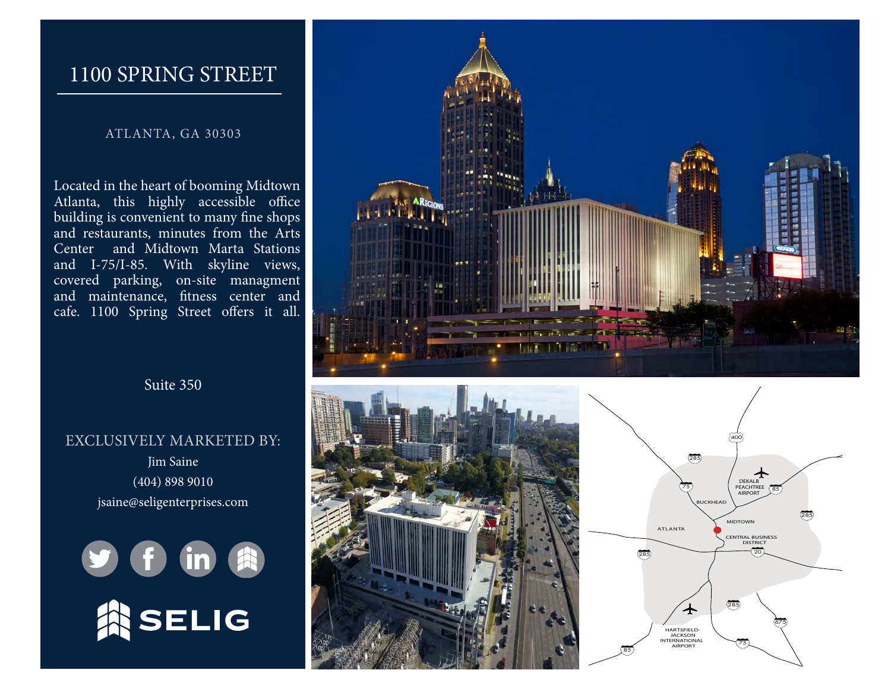## 1100 SPRING STREET

#### ATLANTA, GA 30303

Located in the heart of booming Midtown Atlanta, this highly accessible office building is convenient to many fine shops and restaurants, minutes from the Arts Center and Midtown Marta Stations and I-75/I-85. With skyline views, covered parking, on-site managment and maintenance, fitness center and cafe. 1100 Spring Street offers it all.

Suite 350

#### EXCLUSIVELY MARKETED BY:

Jim Saine (404) 898 9010 jsain[e@seligenterprises.com](mailto:sgouffon%40seligenterprises.com?subject=Brookwood%20Place%20Availability%20Inquiry)









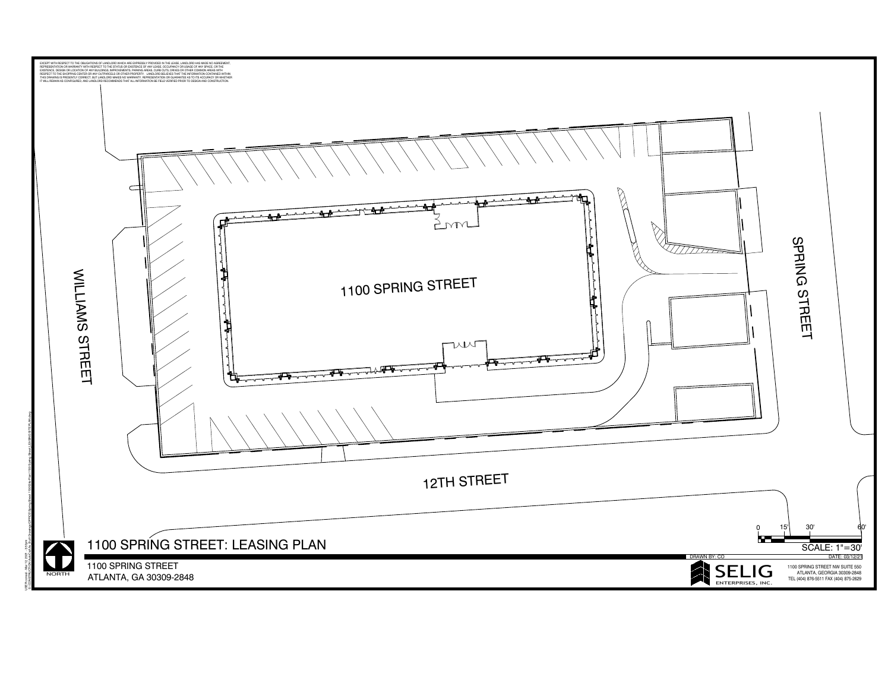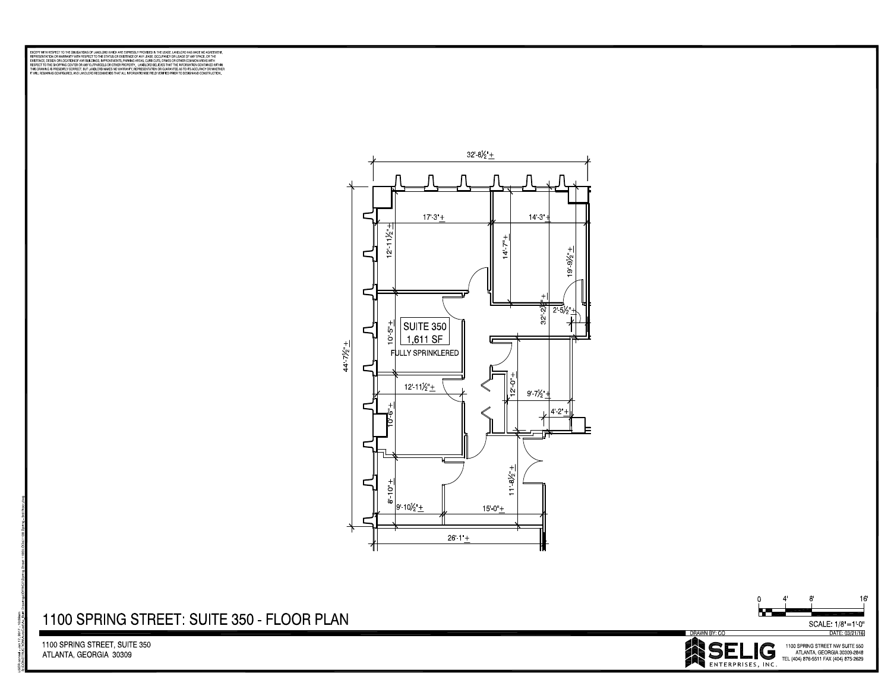DISCRET WITH ESSENT TO THE GUIDATION OF A WOLD CONTRACT ENTERTRACT WITH THE LOSE. WHO CON US MARCH IN CHREDITE<br>DISCRETE WITH A WORK CONTRACT WITH A WORKER WITH A CHREDIT RESPONSE ON THE CONTRACT WITHOUT A WORK OF A WORK C<br>



### 1100 SPRING STREET: SUITE 350 - FLOOR PLAN

1100 SPRING STREET, SUITE 350 ATLANTA, GEORGIA 30309



 $16$